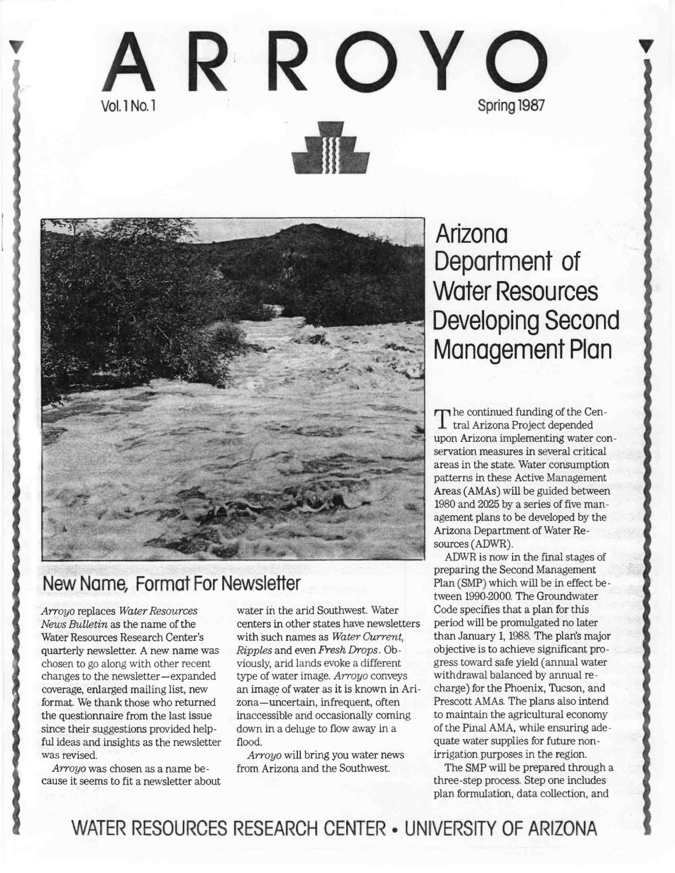



## New Name, Format For Newsieffer

Arroyo replaces Water Resources News Bulletin as the name of the Water Resources Research Center's quarterly newsletter. A new name was chosen to go along with other recent changes to the newsletter-expanded coverage, enlarged mailing list, new format. We thank those who returned the questionnaire from the last issue since their suggestions provided helpful ideas and insights as the newsletter was revised.

Arroyo was chosen as a name be cause it seems to fit a newsletter about

water iñ the arid Southwest. Water centers in other states have newsletters with such names as Water Current, Ripples and even Fresh Drops. Obviously, arid lands evoke a different type of water image. Arroyo conveys an image of water as it is known in Arizona-uncertain, infrequent, often inaccessible and occasionally coming down in a deluge to flow away in a flood.

Arroyo will bring you water news from Arizona and the Southwest.

# Arizona Department of Water Resources Developing Second Management Plan

The commacd randing of the Contract of the Contract of the Contract of the Contract of the Contract of the Contract of the Contract of the Contract of the Contract of the Contract of the Contract of the Contract of the Con  $\Gamma$  he continued funding of the Cenupon Arizona implementing water conservation measures in several critical areas in the state. Water consumption patterns in these Active Management Areas (AMAs) will be guided between 1980 and 2025 by a series of five management plans to be developed by the Arizona Department of Water Resources (ADWR).

ADWR is now in the final stages of preparing the Second Management Plan (SMP) which will be in effect between 1990-2000. The Groundwater Code specifies that a plan for this period will be promulgated no later than January 1, 1988. The plan's major objective is to achieve significant progress toward safe yield (annual water withdrawal balanced by annual recharge) for the Phoenix, Tucson, and Prescott AMAs. The plans also intend to maintain the agricultural economy of the Pinal AMA, while ensuring adequate water supplies for future nonirrigation purposes in the region.

The SMP will be prepared through a three-step process. Step one includes plan formulation, data collection, and

WATER RESOURCES RESEARCH CENTER . UNIVERSITY OF ARIZONA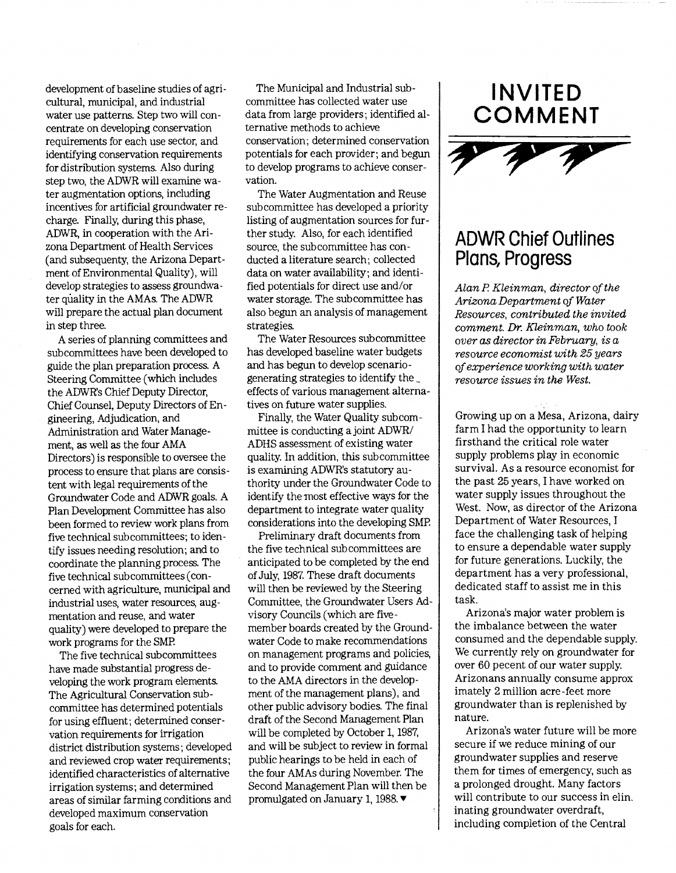development of baseline studies of agricultural, municipal, and industrial water use patterns. Step two will concentrate on developing conservation requirements for each use sector, and identifying conservation requirements for distribution systems. Also during step two, the ADWR will examine water augmentation options, including incentives for artificial groundwater recharge. Finally, during this phase, ADWR, in cooperation with the Arizona Department of Health Services (and subsequenty, the Arizona Department of Environmental Quality), will develop strategies to assess groundwater qúality in the AMAs. The ADWR will prepare the actual plan document in step three.

A series of planning committees and subcommittees have been developed to guide the plan preparation process. A Steering Committee (which includes the ADWR's Chief Deputy Director, Chief Counsel, Deputy Directors of Engineering, Adjudication, and Administration and Water Management, as well as the four AMA Directors) is responsible to oversee the process to ensure that plans are consistent with legal requirements of the Groundwater Code and ADWR goals. A Plan Development Committee has also been formed to review work plans from five technical subcommittees; to identify issues needing resolution; and to coordinate the planning process. The five technical subcommittees (concerned with agriculture, municipal and industrial uses, water resources, augmentation and reuse, and water quality) were developed to prepare the work programs for the SMP.

The five technical subcommittees have made substantial progress developing the work program elements. The Agricultural Conservation subcommittee has determined potentials for using effluent; determined conservation requirements for irrigation district distribution systems; developed and reviewed crop water requirements; identified characteristics of alternative irrigation systems; and determined areas of similar farming conditions and developed maximum conservation goals for each.

The Municipal and Industrial subcommittee has collected water use data from large providers; identified alternative methods to achieve conservation; determined conservation potentials for each provider; and begun to develop programs to achieve conservation.

The Water Augmentation and Reuse sub committee has developed a priority listing of augmentation sources for further study. Also, for each identified source, the subcommittee has conducted a literature search; collected data on water availability; and identified potentials for direct use and/or water storage. The subcommittee has also begun an analysis of management strategies.

The Water Resources subcommittee has developed baseline water budgets and has begun to develop scenariogenerating strategies to identify the effects of various management alternatives on future water supplies.

Finally, the Water Quality subcommittee is conducting a joint ADWR/ ADHS assessment of existing water quality. In addition, this subcommittee is examining ADWR's statutory authority under the Groundwater Code to identify the most effective ways for the department to integrate water quality considerations into the developing SMP.

Prelimirary draft documents from the five technical subcommittees are anticipated to be completed by the end of July, 1987. These draft documents will then be reviewed by the Steering Committee, the Groundwater Users Advisory Councils (which are fivemember boards created by the Groundwater Code to make recommendations on management programs and policies, and to provide comment and guidance to the AMA directors in the development of the management plans), and other public advisory bodies. The final draft of the Second Management Plan will be completed by October 1, 1987, and will be subject to review in formal public hearings to be held in each of the four AMAs during November. The Second Management Plan will then be promulgated on January 1, 1988.  $\blacktriangledown$ 





### ADWR Chief Outlines Plans, Progress

Alan P. Kleinman, director of the Arizona Department of Water Resources, contributed the invited comment. Dr. Kleinman, who took over as director in February, is a resource economist with 25 years of experience working with water resource issues in the West.

Growing up on a Mesa, Arizona, dairy farm I had the opportunity to learn firsthand the critical role water supply problems play in economic survival. As a resource economist for the past 25 years, I have worked on water supply issues throughout the West. Now, as director of the Arizona Department of Water Resources, I face the challenging task of helping to ensure a dependable water supply for future generations. Luckily, the department has a very professional, dedicated staff to assist me in this task.

Arizona's major water problem is the imbalance between the water consumed and the dependable supply. We currently rely on groundwater for over 60 pecent of our water supply. Arizonans annually consume approx imately 2 million acre-feet more groundwater than is replenished by nature.

Arizona's water future will be more secure if we reduce mining of our groundwater supplies and reserve them for times of emergency, such as a prolonged drought. Many factors will contribute to our success in elin. mating groundwater overdraft, including completion of the Central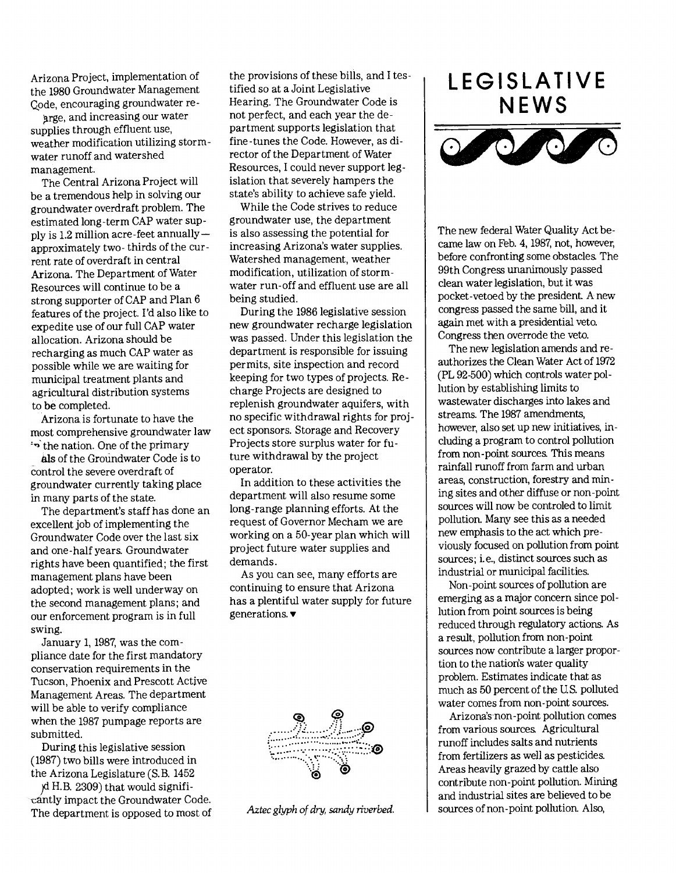Arizona Project, implementation of the 1980 Groundwater Management Code, encouraging groundwater re-

arge, and increasing our water supplies through effluent use, weather modification utilizing stormwater runoff and watershed management.

The Central Arizona Project will be a tremendous help in solving our groundwater overdraft problem. The estimated long-term CAP water supply is  $1.2$  million acre-feet annually  $$ approximately two- thirds of the current rate of overdraft in central Arizona. The Department of Water Resources will continue to be a strong supporter of CAP and Plan 6 features of the project. I'd also like to expedite use of our full CAP water allocation. Arizona should be recharging as much CAP water as possible while we are waiting for municipal treatment plants and agricultural distribution systems to be completed.

Arizona is fortunate to have the most comprehensive groundwater law \*\* the nation. One of the primary

als of the Groundwater Code is to control the severe overdraft of groundwater currently taking place in many parts of the state.

The department's staff has done an excellent job of implementing the Groundwater Code over the last six and one -half years. Groundwater rights have been quantified; the first management plans have been adopted; work is well underway on the second management plans; and our enforcement program is in full swing.

January 1, 1987, was the compliance date for the first mandatory conservation requirements in the Tucson, Phoenix and Prescott Active Management Areas. The department will be able to verify compliance when the 1987 pumpage reports are submitted.

During this legislative session (1987) two bills were introduced in the Arizona Legislature (S.B. 1452

H. B. 2309) that would signifitantly impact the Groundwater Code. The department is opposed to most of the provisions of these bills, and I tes tified so at a Joint Legislative Hearing. The Groundwater Code is not perfect, and each year the department supports legislation that fine-tunes the Code. However, as director of the Department of Water Resources, I could never support legislation that severely hampers the state's ability to achieve safe yield.

While the Code strives to reduce groundwater use, the department is also assessing the potential for increasing Arizona's water supplies. Watershed management, weather modification, utilization of stormwater run-off and effluent use are all being studied.

During the 1986 legislative session new groundwater recharge legislation was passed. Under this legislation the department is responsible for issuing permits, site inspection and record keeping for two types of projects. Re charge Projects are designed to replenish groundwater aquifers, with no specific withdrawal rights for proj ect sponsors. Storage and Recovery Projects store surplus water for future withdrawal by the project operator.

In addition to these activities the department will also resume some long-range planning efforts. At the request of Governor Mecham we are working on a 50-year plan which will project future water supplies and demands.

As you can see, many efforts are continuing to ensure that Arizona has a plentiful water supply for future generations.  $\blacktriangledown$ 



Aztec glyph of dry, sandy riverbed.

## LEGISLATIVE NEWS



The new federal Water Quality Act became law on Feb. 4, 1987, not, however, before confronting some obstacles. The 99th Congress unanimously passed clean water legislation, but it was pocket-vetoed by the president. A new congress passed the same bill, and it again met with a presidential veto. Congress then overrode the veto.

The new legislation amends and reauthorizes the Clean Water Act of 1972 (PL 92-500) which controls water pollution by establishing limits to wastewater discharges into lakes and streams. The 1987 amendments, however, also set up new initiatives, including a program to control pollution from non-point sources. This means rainfall runoff from farm and urban areas, construction, forestry and mming sites and other diffuse or non-point sources will now be controled to limit pollution. Many see this as a needed new emphasis to the act which previously focused on pollution from point sources; i. e., distinct sources such as industrial or municipal facilities.

Non-point sources of pollution are emerging as a major concern since pollution from point sources is being reduced through regulatory actions. As a result, pollution from non-point sources now contribute a larger proportion to the natiorìs water quality problem. Estimates indicate that as much as 50 percent of the US. polluted water comes from non-point sources.

Arizona's non-point pollution comes from various sources. Agricultural runoff includes salts and nutrients from fertilizers as well as pesticides. Areas heavily grazed by cattle also contribute non-point pollution. Mining and industrial sites are believed to be sources of non-point pollution. Also,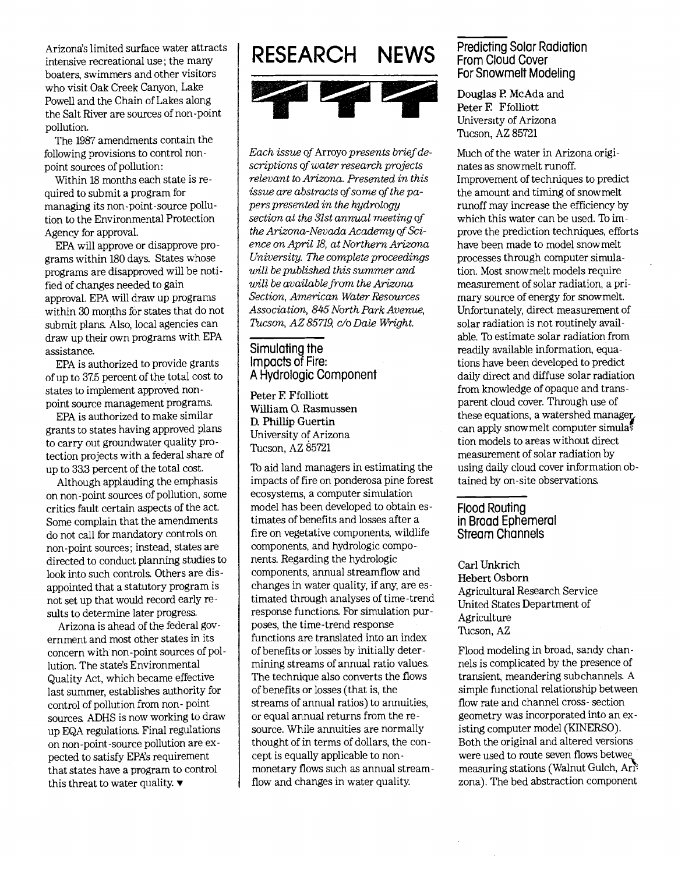Arizona's limited surface water attracts intensive recreational use; the many boaters, swimmers and other visitors who visit Oak Creek Canyon, Lake Powell and the Chain of Lakes along the Salt River are sources of non-point pollution.

The 1987 amendments contain the following provìsions to control nonpoint sources of pollution:

Within 18 months each state is required to submit a program for managing its non-point-source pollution to the Environmental Protection Agency for approval.

EPA will approve or disapprove programs within 180 days. States whose programs are disapproved will be notified of changes needed to gain approval. EPA will draw up programs within 30 months fór states that do not submit plans. Also, local agencies can draw up their own programs with EPA assistance.

EPA is authorized to provide grants of up to 37.5 percent of the total cost to states to implement approved nonpoint source management programs.

EPA is authorized to make similar grants to states having approved plans to carry out groundwater quality protection projects with a federal share of up to 33.3 percent of the total cost.

Although applauding the emphasis on non-point sources of pollution, some critics fault certain aspects of the act. Some complain that the amendments do not call for mandatory controls on non-point sources; instead, states are directed to conduct planning studies to look into such controls. Others are disappointed that a statutory program is not set up that would record early results to determine later progress.

Arizona is ahead of the federal government and most other states in its concern with non-point sources of poilution. The state's Environmental Quality Act, which became effective last summer, establishes authority for control of pollution from non- point sources. ADHS is now working to draw up EQA regulations. Final regulations on non-point-source pollution are expected to satisfy EPA's requirement that states have a program to control this threat to water quality.  $\blacktriangledown$ 



Each issue of Arroyo presents brief descriptions of water research projects relevant to Arizona. Presented in this issue are abstracts of some of the papers presented in the hydrology section at the 31st annual meeting of the Arizona-Nevada Academy of Science on April 18, at Northern Arizona University. The complete proceedings will be published this summer and will be available from the Arizona Section, American Water Resources Association, 845 North Park Avenue, Tucson, AZ 85719, c/o Dale Wright.

#### Simulating the Impacts of Fire: A Hydrologic Component

Peter F. Ffolliott William O. Rasmussen D. Phillip Guertin University of Arizona Tucson, AZ 85721

To aid land managers in estimating the impacts of fire on ponderosa pine forest ecosystems, a computer simulation model has been developed to obtain estimates of benefits and losses after a fire on vegetative components, wildlife components, and hydrologic components. Regarding the hydrologic components, annual streamflow and changes in water quality, if any, are estimated through analyses of time-trend response functions. For simulation purposes, the time-trend response functions are translated into an index of benefits or losses by initially determining streams of annual ratio values. The technique also converts the flows of benefits or losses (that is, the streams of annual ratios) to annuities, or equal annual returns from the resource. While annuities are normally thought of in terms of dollars, the concept is equally applicable to nonmonetary flows such as annual streamflow and changes in water quality.

#### Predicting Solar Radiation From Cloud Cover For Snowmelt Modeling

Douglas P. McAda and Peter E Ffolliott University of Arizona Tucson, AZ 85721

Much of the water in Arizona originates as snowmelt runoff. Improvement of techniques to predict the amount and timing of snowmelt runoff may increase the efficiency by which this water can be used. To improve the prediction techniques, efforts have been made to model snowmeit processes through computer simulation. Most snowmelt models require measurement of solar radiation, a primary source of energy for snowmelt. Unfortunately, direct measurement of solar radiation is not routinely available. To estimate solar radiation from readily available information, equations have been developed to predict daily direct and diffuse solar radiation from knowledge of opaque and transparent cloud cover. Through use of these equations, a watershed manager. can apply snowmelt computer simulas tion models to areas without direct measurement of solar radiation by using daily cloud cover information obtained by on-site observations.

#### Flood Routing in Broad Ephemeral Stream Channels

Carl Unkrich Hebert Osborn Agricultural Research Service United States Department of Agriculture Tucson, AZ

Flood modeling in broad, sandy channels is complicated by the presence of transient, meandering sub channels. A simple functional relationship between flow rate and channel cross- section geometry was incorporated into an existing computer model (KINERSO). Both the original and altered versions were used to route seven flows betwee. measuring stations (Walnut Gulch, Ar zona). The bed abstraction component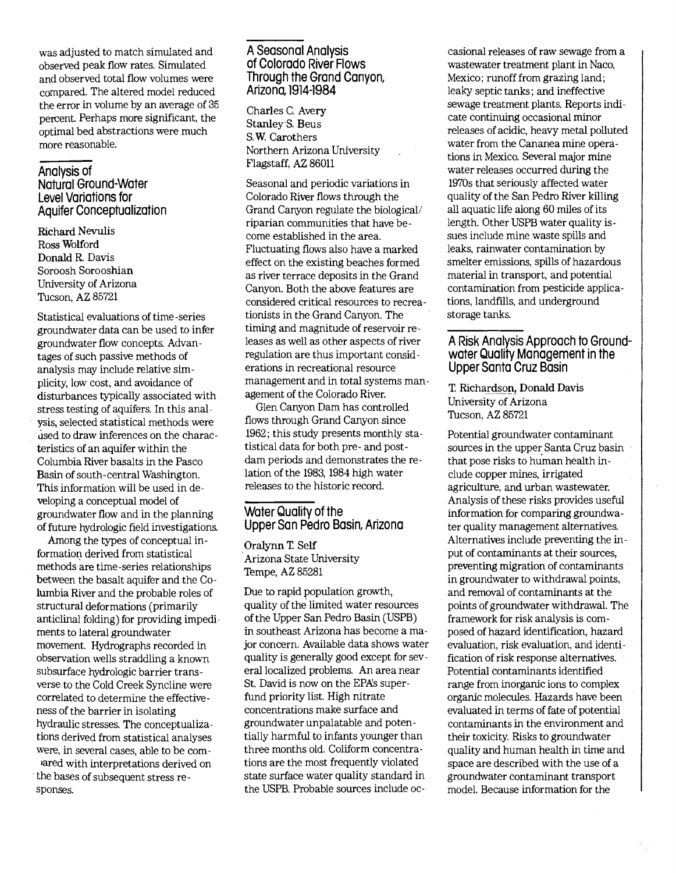was adjusted to match simulated and observed peak flow rates. Simulated and observed total flow volumes were compared. The altered model reduced the error in volume by an average of 35 percent. Perhaps more significant, the optimal bed abstractions were much more reasonable.

#### Analysis of

Natural Ground-Water Level Variations for Aquifer Conceptualization

Richard Nevulis Ross Wolford Donald R. Davis Soroosh Sorooshian University of Arizona Tucson, AZ 85721

Statistical evaluations of time-series groundwater data can be used to infer groundwater flow concepts. Advantages of such passive methods of analysis may include relative simplicity, low cost, and avoidance of disturbances typically associated with stress testing of aquifers. In this analysis, selected statistical methods were used to draw inferences on the characteristics of an aquifer within the Columbia River basalts in the Pasco Basin of south-central Washington. This information will be used in developing a conceptual model of groundwater flow and in the planning of future hydrologic field investigations.

Among the types of conceptual information derived from statistical methods are time-series relationships between the basalt aquifer and the Columbia River and the probable roles of structural deformations (primarily anticlinal folding) for providing impediments to lateral groundwater movement. Hydrographs recorded in observation wells straddling a known subsurface hydrologic barrier transverse to the Cold Creek Syncline were correlated to determine the effectiveness of the barrier in isolating hydraulic stresses. The conceptualizations derived from statistical analyses were, in several cases, able to be combared with interpretations derived on

the bases of subsequent stress responses.

#### A Seasonal Analysis of Colorado River Flows Through the Grand Canyon, Arizona, 1914-1984

Charles C Avery Stanley S. Beus S. W. Carothers Northern Arizona University Flagstaff, AZ 86011

Seasonal and periodic variations in Colorado River flows through the Grand Canyon regulate the biological/ riparian communities that have become established in the area. Fluctuating flows also have a marked effect on the existing beaches formed as river terrace deposits in the Grand Canyon. Both the above features are considered critical resources to recreationists in the Grand Canyon. The timing and magnitude of reservoir releases as well as other aspects of river regulation are thus important considerations in recreational resource management and in total systems management of the Colorado River.

Glen Canyon Dam has controlled flows through Grand Canyon since 1962; this study presents monthly statistical data for both pre- and postdam periods and demonstrates the relation of the 1983, 1984 high water releases to the historic record.

#### Water Quality of the Upper San Pedro Basin, Arizona

Oralynn T. Self Arizona State University Tempe, AZ 85281

Due to rapid population growth, quality of the limited water resources of the Upper San Pedro Basin (USPB) in southeast Arizona has become a major concern. Available data shows water quality is generally good except for several localized problems. An area near St. David is now on the EPA's superfund priority list. High nitrate concentrations make surface and groundwater unpalatable and potentially harmful to infants younger than three months old. Coliform concentrations are the most frequently violated state surface water quality standard in the USPB. Probable sources include oc-

casional releases of raw sewage from a wastewater treatment plant in Naco, Mexico; runoff from grazing land; leaky septic tanks; and ineffective sewage treatment plants. Reports indicate continuing occasional minor releases of acidic, heavy metal polluted water from the Cananea mine operations in Mexica Several major mine water releases occurred during the 1970s that seriously affected water quality of the San Pedro River killing all aquatic life along 60 miles of its length. Other USPB water quality issues include mine waste spills and leaks, rainwater contamination by smelter emissions, spills of hazardous material in transport, and potential contamination from pesticide applications, landfills, and underground storage tanks.

#### A Risk Analysis Approach to Groundwater Quality Management in the Upper Santa Cruz Basin

T Richardson, Donald Davis University of Arizona Tucson, AZ 85721

Potential groundwater contaminant sources in the upper Santa Cruz basin that pose risks to human health indude copper mines, irrigated agriculture, and urban wastewater. Analysis of these risks provides useful information for comparing groundwater quality management alternatives. Alternatives include preventing the input of contaminants at their sources, preventing migration of contaminants in groundwater to withdrawal points, and removal of contaminants at the points of groundwater withdrawal. The framework for risk analysis is composed of hazard identification, hazard evaluation, risk evaluation, and identification of risk response alternatives. Potential contaminants identified range from inorganic ions to complex organic molecules. Hazards have been evaluated in terms of fate of potential contaminants in the environment and their toxicity. Risks to groundwater quality and human health in time and space are described with the use of a groundwater contaminant transport model. Because information for the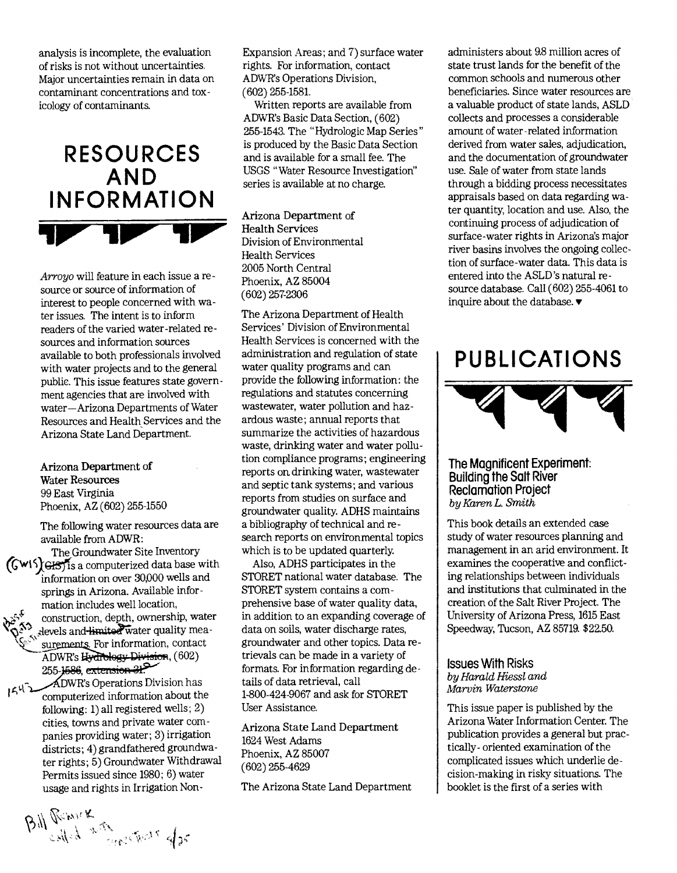analysis is incomplete, the evaluation of risks is not without uncertainties. Major uncertainties remain in data on contaminant concentrations and toxicology of contaminants.

# RESOURCES AND **INFORMATION**

Arroyo will feature in each issue a resource or source of information of interest to people concerned with water issues. The intent is to inform readers of the varied water-related resources and information sources available to both professionals involved with water projects and to the generai public. This issue features state government agencies that are involved with water-Arizona Departments of Water Resources and Health Services and the Arizona State Land Department.

Arizona Department of Water Resources 99 East Virginia Phoenix, AZ (602) 255-1550

The following water resources data are available from ADWR:

The Groundwater Site Inventory  $(Gw15)$ GHSTIs a computerized data base with information on over 30,000 wells and springs in Arizona. Available information includes well location, construction, depth, ownership, water devels and limited water quality measurements. For information, contact ADWR's Hydrology Division, (602) 255-1586, extension 21.

DWR's Operations Division has  $1542$ computerized information about the following: 1) all registered wells; 2) cities, towns and private water companies providing water; 3) irrigation districts; 4) grandfathered groundwater rights; 5) Groundwater Withdrawal Permits issued since 1980; 6) water usage and rights in Irrigation NonExpansion Areas; and 7) surface water rights. For information, contact ADWR's Operations Division, (602) 255-1581.

Written reports are available from ADWR's Basic Data Section, (602) 255-1543. The "Hydrologic Map Series" is produced by the Basic Data Section and is available for a small fee. The USGS "Water Resource Investigation" series is available at no charge.

Arizona Department of Health Services Division of Environmental Health Services 2005 North Central Phoenix, AZ 85004 (602) 257-2306

The Arizona Department of Health Services' Division of Environmental Health Services is concerned with the administration and regulation of state water quality programs and can provide the following information: the regulations and statutes concerning wastewater, water pollution and hazardous waste; annual reports that summarize the activities of hazardous waste, drinking water and water pollution compliance programs; engineering reports on. drinking water, wastewater and septic tank systems; and various reports from studies on surface and groundwater quality. ADHS maintains a bibliography of technical and research reports on environmental topics which is to be updated quarterly.

Also, ADHS particìpates in the STORET national water database. The STORET system contains a comprehensive base of water quality data, in addition to an expanding coverage of data on soils, water discharge rates, groundwater and other topics. Data retrievals can be made in a variety of formats. For information regarding details of data retrieval, call 1-800-424-9067 and ask for STORET User Assistance.

Arizona State Land Department 1624 West Adams Phoenix, AZ 85007 (602) 255-4629

The Arizona State Land Department

administers about 9.8 million acres of state trust lands for the benefit of the common schools and numerous other beneficiaries. Since water resources are a valuable product of state lands, ASLD collects and processes a considerable amount of water-related information derived from water sales, adjudication, and the documentation of groundwater use. Sale of water from state lands through a bidding process necessitates appraisals based on data regarding water quantity, location and use. Also, the continuing process of adjudication of surface-water rights in Arizona's major river basins involves the ongoing collection of surface-water data. This data is entered into the ASLD 's natural resource database. Call (602) 255-4061 to inquire about the database.  $\blacktriangledown$ 

## PUBLICATIONS



#### The Magnificent Experiment: Building the Salt River Reclamation Project byKarenL. Smith

This book details an extended case study of water resources planning and management in an arid environment. It examines the cooperative and conflicting relationships between individuals and institutions that culminated in the creation of the Salt River Project. The University of Arizona Press, 1615 East Speedway, Tucson, AZ 85719. \$22.50.

Issues With Risks by Harald Hiessi and Marvin Waterstone

This issue paper is published by the Arizona Water Information Center. The publication provides a general but practically- oriented examination of the complicated issues which underlie decision-making in risky situations. The booklet is the first of a series with

Bill Remik Kathara dos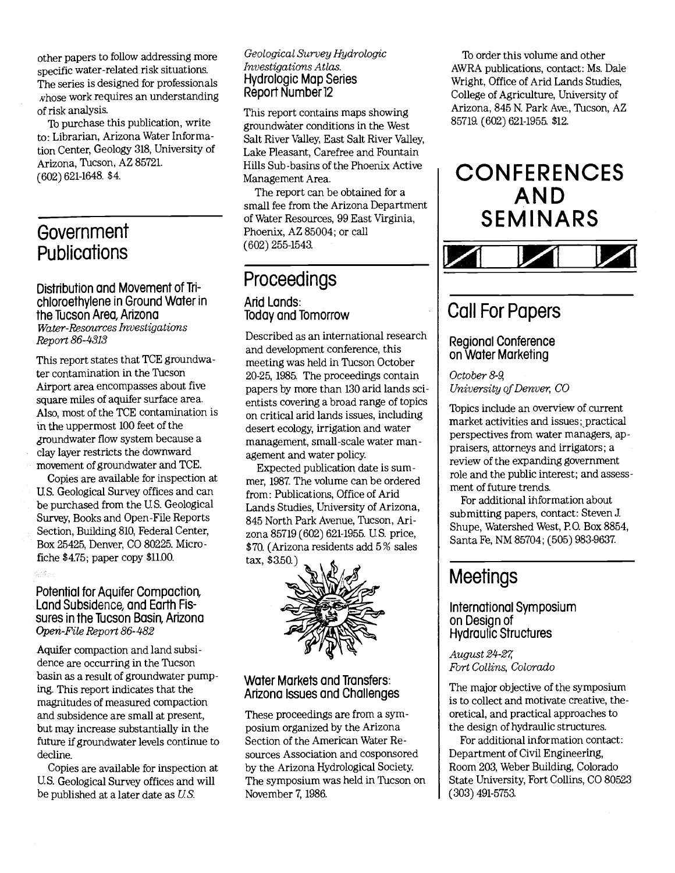other papers to follow addressing more specific water-related risk situations. The series is designed for professionals *hose work requires an understanding* of risk analysis.

To purchase this publication, write to: Librarian, Arizona Water Information Center, Geology 318, University of Arizona, Tucson, AZ 85721. (602) 621-1648. \$4.

## **Government Publications**

Distribution and Movement of Trichloroethytene in Ground Water in the Tucson Area, Arizona Water-Resources Investigations Report 86-4313

This report states that TCE groundwater contamination in the Tucson Airport area encompasses about five square miles of aquifer surface area. Also, most of the TCE contamination is in the uppermost 100 feet of the ¿roundwater flow system because a clay layer restricts the downward movement of groundwater and TCE.

Copies are available for inspection at U S. Geological Survey offices and can be purchased from the US. Geological Survey, Books and Open-File Reports Section, Building 810, Federal Center, Box 25425, Denver, CO 80225. Microfiche \$4.75; paper copy \$11.00.

#### Potential for Aquifer Compaction, Land Subsidence, and Earth Fissures in the Tucson Basin, Arizona Open-File Report 86-482

.<br>Geografia

Aquifer compaction and land subsidence are occurring in the Tucson basin as a result of groundwater pumping. This report indicates that the magnitudes of measured compaction and subsidence are small at present, but may increase substantially in the future if groundwater levels continue to decline.

Copies are available for inspection at U.S. Geological Survey offices and will be published at a later date as US.

#### Geological Survey Hydrologic Investigations Atlas. Hydrologic Map Series Report Number 12

This report contains maps showing groundwäter conditions in the West Salt River Valley, East Salt River Valley, Lake Pleasant, Carefree and Fountain Hills Sub-basins of the Phoenix Active Management Area.

The report can be obtained for a small fee from the Arizona Department of Water Resources, 99 East Virginia, Phoenix, AZ 85004; or call (602) 255-1543.

## Proceedings

#### And Lands: Today and Tomorrow

Described as an international research and development conference, this meeting was held in Tucson October 20-25, 1985. The proceedings contain papers by more than 130 arid lands scientists covering a broad range of topics on critical arid lands issues, including desert ecology, irrigation and water management, small-scale water management and water policy.

Expected publication date is summer, 1987. The volume can be ordered from: Publications, Office of Arid Lands Studies, University of Arizona, 845 North Park Avenue, Tucson, Arizona 85719(602) 621-1955. US. price, \$70. (Arizona residents add 5% sales  $tax, $3.50.)$ 



#### Water Markets and Transfers: Arizona Issues and Challenges

These proceedings are from a syrnposium organized by the Arizona Section of the American Water Resources Association and cosponsored by the Arizona Hydrological Society. The symposium was held in Tucson on November 7, 1986.

To order this volume and other AWRA publications, contact: Ms. Dale Wright, Office of Arid Lands Studies, College of Agriculture, University of Arizona, 845 N. Park Ave., Tucson, AZ 85719. (602) 621-1955. \$12.

# **CONFERENCES** AND<br>SEMINARS



## Call For Papers

#### Regional Conference on Water Marketing

October 8-9, University of Denver, CO

Topics include an overview of current market activities and issues; practical perspectives from water managers, appraisers, attorneys and irrigators; a review of the expanding government role and the public interest; and assessment of future trends.

For additional ihformation about submitting papers, contact: Steven J. Shupe, Watershed West, P.O. Box 8854, Santa Fe, NM 85704; (505) 983-9637.

## **Meetings**

#### International Symposium on Design of Hydraulic Structures

August 24-27, Fort Collins, Colorado

The major objective of the symposium is to collect and motivate creative, theoretical, and practical approaches to the design of hydraulic structures.

For additional information contact: Department of Civil Engineering, Room 203, Weber Building, Colorado State University, Fort Collins, CO 80523 (303) 491-5753.